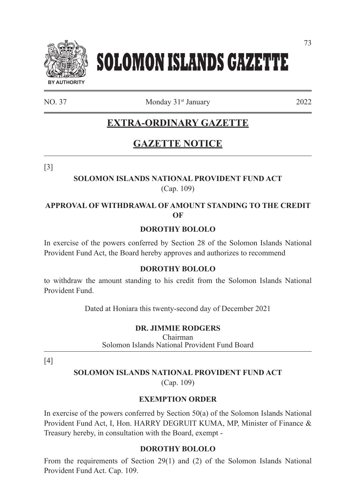

# **SOLOMON ISLANDS GAZETTE**

NO. 37 Monday 31<sup>st</sup> January 2022

# **EXTRA-ORDINARY GAZETTE**

# **GAZETTE NOTICE**

[3]

#### **SOLOMON ISLANDS NATIONAL PROVIDENT FUND ACT**  (Cap. 109)

# **APPROVAL OF WITHDRAWAL OF AMOUNT STANDING TO THE CREDIT OF**

#### **DOROTHY BOLOLO**

In exercise of the powers conferred by Section 28 of the Solomon Islands National Provident Fund Act, the Board hereby approves and authorizes to recommend

#### **DOROTHY BOLOLO**

to withdraw the amount standing to his credit from the Solomon Islands National Provident Fund.

Dated at Honiara this twenty-second day of December 2021

#### **DR. JIMMIE RODGERS**

Chairman Solomon Islands National Provident Fund Board

[4]

#### **SOLOMON ISLANDS NATIONAL PROVIDENT FUND ACT**

(Cap. 109)

# **EXEMPTION ORDER**

In exercise of the powers conferred by Section 50(a) of the Solomon Islands National Provident Fund Act, I, Hon. HARRY DEGRUIT KUMA, MP, Minister of Finance & Treasury hereby, in consultation with the Board, exempt -

#### **DOROTHY BOLOLO**

From the requirements of Section 29(1) and (2) of the Solomon Islands National Provident Fund Act. Cap. 109.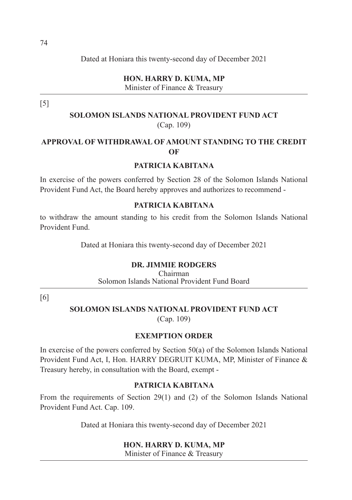Dated at Honiara this twenty-second day of December 2021

**HON. HARRY D. KUMA, MP**  Minister of Finance & Treasury

[5]

# **SOLOMON ISLANDS NATIONAL PROVIDENT FUND ACT**  (Cap. 109)

# **APPROVAL OF WITHDRAWAL OF AMOUNT STANDING TO THE CREDIT OF**

#### **PATRICIA KABITANA**

In exercise of the powers conferred by Section 28 of the Solomon Islands National Provident Fund Act, the Board hereby approves and authorizes to recommend -

#### **PATRICIA KABITANA**

to withdraw the amount standing to his credit from the Solomon Islands National Provident Fund.

Dated at Honiara this twenty-second day of December 2021

#### **DR. JIMMIE RODGERS**

Chairman Solomon Islands National Provident Fund Board

[6]

# **SOLOMON ISLANDS NATIONAL PROVIDENT FUND ACT**

(Cap. 109)

#### **EXEMPTION ORDER**

In exercise of the powers conferred by Section 50(a) of the Solomon Islands National Provident Fund Act, I, Hon. HARRY DEGRUIT KUMA, MP, Minister of Finance & Treasury hereby, in consultation with the Board, exempt -

#### **PATRICIA KABITANA**

From the requirements of Section 29(1) and (2) of the Solomon Islands National Provident Fund Act. Cap. 109.

Dated at Honiara this twenty-second day of December 2021

#### **HON. HARRY D. KUMA, MP**

Minister of Finance & Treasury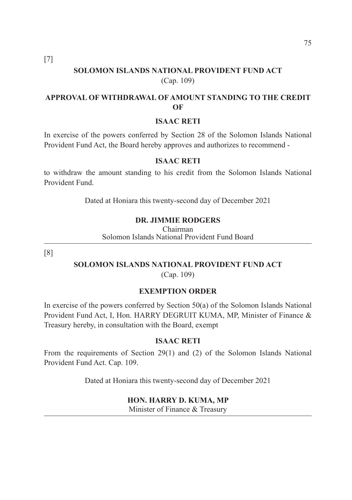[7]

# **SOLOMON ISLANDS NATIONAL PROVIDENT FUND ACT**  (Cap. 109)

## **APPROVAL OF WITHDRAWAL OF AMOUNT STANDING TO THE CREDIT OF**

#### **ISAAC RETI**

In exercise of the powers conferred by Section 28 of the Solomon Islands National Provident Fund Act, the Board hereby approves and authorizes to recommend -

#### **ISAAC RETI**

to withdraw the amount standing to his credit from the Solomon Islands National Provident Fund.

Dated at Honiara this twenty-second day of December 2021

#### **DR. JIMMIE RODGERS**

Chairman Solomon Islands National Provident Fund Board

[8]

# **SOLOMON ISLANDS NATIONAL PROVIDENT FUND ACT**

(Cap. 109)

#### **EXEMPTION ORDER**

In exercise of the powers conferred by Section 50(a) of the Solomon Islands National Provident Fund Act, I, Hon. HARRY DEGRUIT KUMA, MP, Minister of Finance & Treasury hereby, in consultation with the Board, exempt

#### **ISAAC RETI**

From the requirements of Section 29(1) and (2) of the Solomon Islands National Provident Fund Act. Cap. 109.

Dated at Honiara this twenty-second day of December 2021

#### **HON. HARRY D. KUMA, MP**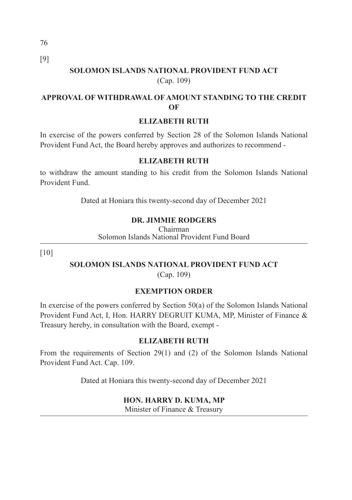76 [9]

# **SOLOMON ISLANDS NATIONAL PROVIDENT FUND ACT**  (Cap. 109)

# **APPROVAL OF WITHDRAWAL OF AMOUNT STANDING TO THE CREDIT OF**

# **ELIZABETH RUTH**

In exercise of the powers conferred by Section 28 of the Solomon Islands National Provident Fund Act, the Board hereby approves and authorizes to recommend -

#### **ELIZABETH RUTH**

to withdraw the amount standing to his credit from the Solomon Islands National Provident Fund.

Dated at Honiara this twenty-second day of December 2021

# **DR. JIMMIE RODGERS**

Chairman Solomon Islands National Provident Fund Board

[10]

# **SOLOMON ISLANDS NATIONAL PROVIDENT FUND ACT**

(Cap. 109)

# **EXEMPTION ORDER**

In exercise of the powers conferred by Section 50(a) of the Solomon Islands National Provident Fund Act, I, Hon. HARRY DEGRUIT KUMA, MP, Minister of Finance & Treasury hereby, in consultation with the Board, exempt -

#### **ELIZABETH RUTH**

From the requirements of Section 29(1) and (2) of the Solomon Islands National Provident Fund Act. Cap. 109.

Dated at Honiara this twenty-second day of December 2021

#### **HON. HARRY D. KUMA, MP**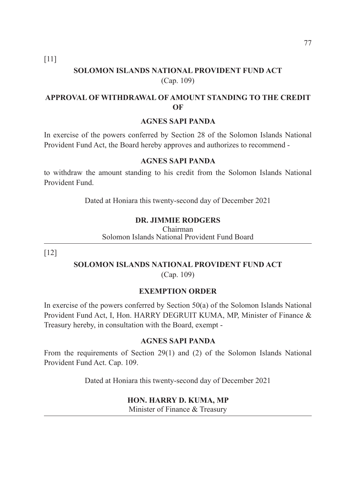[11]

# **SOLOMON ISLANDS NATIONAL PROVIDENT FUND ACT**  (Cap. 109)

# **APPROVAL OF WITHDRAWAL OF AMOUNT STANDING TO THE CREDIT OF**

#### **AGNES SAPI PANDA**

In exercise of the powers conferred by Section 28 of the Solomon Islands National Provident Fund Act, the Board hereby approves and authorizes to recommend -

#### **AGNES SAPI PANDA**

to withdraw the amount standing to his credit from the Solomon Islands National Provident Fund.

Dated at Honiara this twenty-second day of December 2021

#### **DR. JIMMIE RODGERS**

Chairman Solomon Islands National Provident Fund Board

[12]

# **SOLOMON ISLANDS NATIONAL PROVIDENT FUND ACT**

(Cap. 109)

#### **EXEMPTION ORDER**

In exercise of the powers conferred by Section 50(a) of the Solomon Islands National Provident Fund Act, I, Hon. HARRY DEGRUIT KUMA, MP, Minister of Finance & Treasury hereby, in consultation with the Board, exempt -

#### **AGNES SAPI PANDA**

From the requirements of Section 29(1) and (2) of the Solomon Islands National Provident Fund Act. Cap. 109.

Dated at Honiara this twenty-second day of December 2021

#### **HON. HARRY D. KUMA, MP**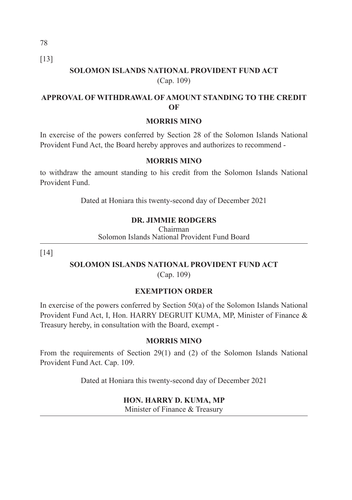[13]

# **SOLOMON ISLANDS NATIONAL PROVIDENT FUND ACT**  (Cap. 109)

## **APPROVAL OF WITHDRAWAL OF AMOUNT STANDING TO THE CREDIT OF**

#### **MORRIS MINO**

In exercise of the powers conferred by Section 28 of the Solomon Islands National Provident Fund Act, the Board hereby approves and authorizes to recommend -

#### **MORRIS MINO**

to withdraw the amount standing to his credit from the Solomon Islands National Provident Fund.

Dated at Honiara this twenty-second day of December 2021

# **DR. JIMMIE RODGERS**

Chairman Solomon Islands National Provident Fund Board

[14]

# **SOLOMON ISLANDS NATIONAL PROVIDENT FUND ACT**

(Cap. 109)

# **EXEMPTION ORDER**

In exercise of the powers conferred by Section 50(a) of the Solomon Islands National Provident Fund Act, I, Hon. HARRY DEGRUIT KUMA, MP, Minister of Finance & Treasury hereby, in consultation with the Board, exempt -

#### **MORRIS MINO**

From the requirements of Section 29(1) and (2) of the Solomon Islands National Provident Fund Act. Cap. 109.

Dated at Honiara this twenty-second day of December 2021

#### **HON. HARRY D. KUMA, MP**

Minister of Finance & Treasury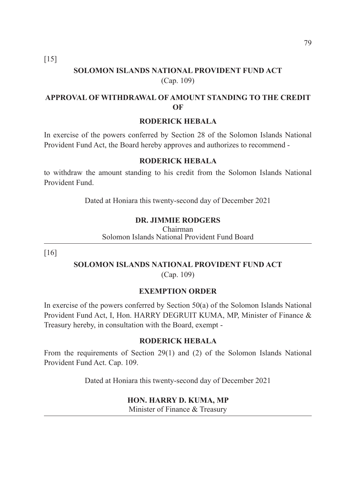[15]

# **SOLOMON ISLANDS NATIONAL PROVIDENT FUND ACT**  (Cap. 109)

# **APPROVAL OF WITHDRAWAL OF AMOUNT STANDING TO THE CREDIT OF**

#### **RODERICK HEBALA**

In exercise of the powers conferred by Section 28 of the Solomon Islands National Provident Fund Act, the Board hereby approves and authorizes to recommend -

#### **RODERICK HEBALA**

to withdraw the amount standing to his credit from the Solomon Islands National Provident Fund.

Dated at Honiara this twenty-second day of December 2021

#### **DR. JIMMIE RODGERS**

Chairman Solomon Islands National Provident Fund Board

[16]

# **SOLOMON ISLANDS NATIONAL PROVIDENT FUND ACT**

(Cap. 109)

#### **EXEMPTION ORDER**

In exercise of the powers conferred by Section 50(a) of the Solomon Islands National Provident Fund Act, I, Hon. HARRY DEGRUIT KUMA, MP, Minister of Finance & Treasury hereby, in consultation with the Board, exempt -

#### **RODERICK HEBALA**

From the requirements of Section 29(1) and (2) of the Solomon Islands National Provident Fund Act. Cap. 109.

Dated at Honiara this twenty-second day of December 2021

#### **HON. HARRY D. KUMA, MP**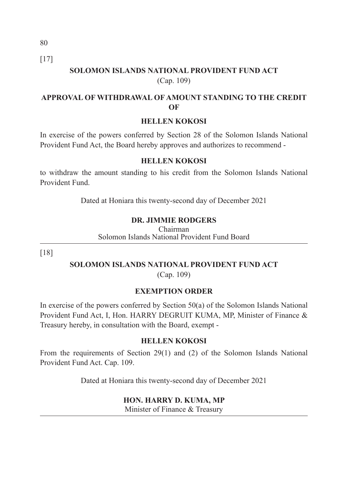80 [17]

# **SOLOMON ISLANDS NATIONAL PROVIDENT FUND ACT**  (Cap. 109)

## **APPROVAL OF WITHDRAWAL OF AMOUNT STANDING TO THE CREDIT OF**

#### **HELLEN KOKOSI**

In exercise of the powers conferred by Section 28 of the Solomon Islands National Provident Fund Act, the Board hereby approves and authorizes to recommend -

#### **HELLEN KOKOSI**

to withdraw the amount standing to his credit from the Solomon Islands National Provident Fund.

Dated at Honiara this twenty-second day of December 2021

#### **DR. JIMMIE RODGERS**

Chairman Solomon Islands National Provident Fund Board

[18]

# **SOLOMON ISLANDS NATIONAL PROVIDENT FUND ACT**

(Cap. 109)

#### **EXEMPTION ORDER**

In exercise of the powers conferred by Section 50(a) of the Solomon Islands National Provident Fund Act, I, Hon. HARRY DEGRUIT KUMA, MP, Minister of Finance & Treasury hereby, in consultation with the Board, exempt -

#### **HELLEN KOKOSI**

From the requirements of Section 29(1) and (2) of the Solomon Islands National Provident Fund Act. Cap. 109.

Dated at Honiara this twenty-second day of December 2021

#### **HON. HARRY D. KUMA, MP**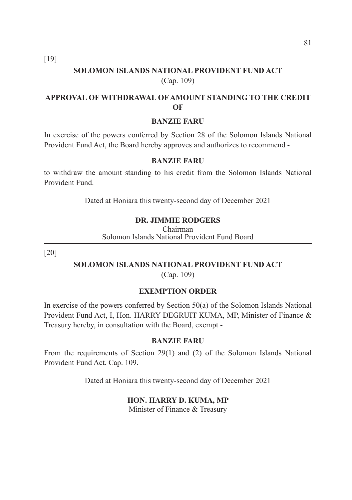[19]

# **SOLOMON ISLANDS NATIONAL PROVIDENT FUND ACT**  (Cap. 109)

# **APPROVAL OF WITHDRAWAL OF AMOUNT STANDING TO THE CREDIT OF**

#### **BANZIE FARU**

In exercise of the powers conferred by Section 28 of the Solomon Islands National Provident Fund Act, the Board hereby approves and authorizes to recommend -

#### **BANZIE FARU**

to withdraw the amount standing to his credit from the Solomon Islands National Provident Fund.

Dated at Honiara this twenty-second day of December 2021

#### **DR. JIMMIE RODGERS**

Chairman Solomon Islands National Provident Fund Board

[20]

# **SOLOMON ISLANDS NATIONAL PROVIDENT FUND ACT**

(Cap. 109)

#### **EXEMPTION ORDER**

In exercise of the powers conferred by Section 50(a) of the Solomon Islands National Provident Fund Act, I, Hon. HARRY DEGRUIT KUMA, MP, Minister of Finance & Treasury hereby, in consultation with the Board, exempt -

#### **BANZIE FARU**

From the requirements of Section 29(1) and (2) of the Solomon Islands National Provident Fund Act. Cap. 109.

Dated at Honiara this twenty-second day of December 2021

#### **HON. HARRY D. KUMA, MP**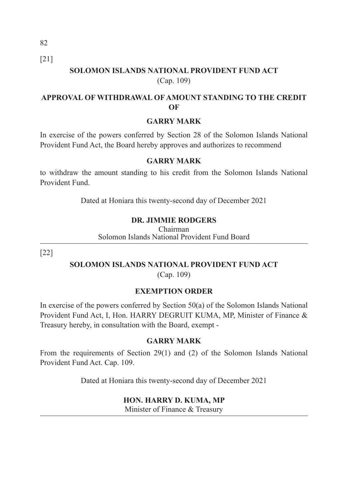82 [21]

# **SOLOMON ISLANDS NATIONAL PROVIDENT FUND ACT**  (Cap. 109)

## **APPROVAL OF WITHDRAWAL OF AMOUNT STANDING TO THE CREDIT OF**

#### **GARRY MARK**

In exercise of the powers conferred by Section 28 of the Solomon Islands National Provident Fund Act, the Board hereby approves and authorizes to recommend

#### **GARRY MARK**

to withdraw the amount standing to his credit from the Solomon Islands National Provident Fund.

Dated at Honiara this twenty-second day of December 2021

## **DR. JIMMIE RODGERS**

Chairman Solomon Islands National Provident Fund Board

[22]

# **SOLOMON ISLANDS NATIONAL PROVIDENT FUND ACT**

(Cap. 109)

#### **EXEMPTION ORDER**

In exercise of the powers conferred by Section 50(a) of the Solomon Islands National Provident Fund Act, I, Hon. HARRY DEGRUIT KUMA, MP, Minister of Finance & Treasury hereby, in consultation with the Board, exempt -

#### **GARRY MARK**

From the requirements of Section 29(1) and (2) of the Solomon Islands National Provident Fund Act. Cap. 109.

Dated at Honiara this twenty-second day of December 2021

#### **HON. HARRY D. KUMA, MP**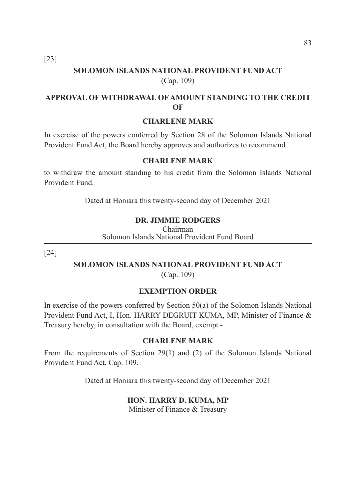[23]

# **SOLOMON ISLANDS NATIONAL PROVIDENT FUND ACT**  (Cap. 109)

# **APPROVAL OF WITHDRAWAL OF AMOUNT STANDING TO THE CREDIT OF**

#### **CHARLENE MARK**

In exercise of the powers conferred by Section 28 of the Solomon Islands National Provident Fund Act, the Board hereby approves and authorizes to recommend

#### **CHARLENE MARK**

to withdraw the amount standing to his credit from the Solomon Islands National Provident Fund.

Dated at Honiara this twenty-second day of December 2021

#### **DR. JIMMIE RODGERS**

Chairman Solomon Islands National Provident Fund Board

[24]

# **SOLOMON ISLANDS NATIONAL PROVIDENT FUND ACT**

(Cap. 109)

#### **EXEMPTION ORDER**

In exercise of the powers conferred by Section 50(a) of the Solomon Islands National Provident Fund Act, I, Hon. HARRY DEGRUIT KUMA, MP, Minister of Finance & Treasury hereby, in consultation with the Board, exempt -

#### **CHARLENE MARK**

From the requirements of Section 29(1) and (2) of the Solomon Islands National Provident Fund Act. Cap. 109.

Dated at Honiara this twenty-second day of December 2021

#### **HON. HARRY D. KUMA, MP**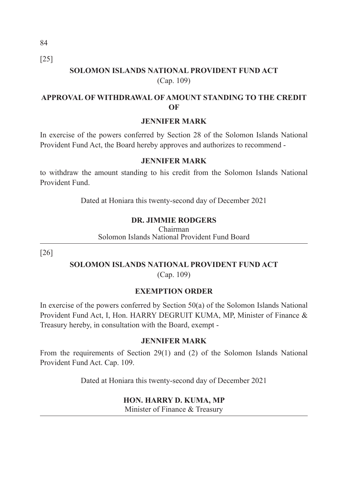[25]

# **SOLOMON ISLANDS NATIONAL PROVIDENT FUND ACT**  (Cap. 109)

## **APPROVAL OF WITHDRAWAL OF AMOUNT STANDING TO THE CREDIT OF**

#### **JENNIFER MARK**

In exercise of the powers conferred by Section 28 of the Solomon Islands National Provident Fund Act, the Board hereby approves and authorizes to recommend -

#### **JENNIFER MARK**

to withdraw the amount standing to his credit from the Solomon Islands National Provident Fund.

Dated at Honiara this twenty-second day of December 2021

## **DR. JIMMIE RODGERS**

Chairman Solomon Islands National Provident Fund Board

[26]

# **SOLOMON ISLANDS NATIONAL PROVIDENT FUND ACT**

(Cap. 109)

#### **EXEMPTION ORDER**

In exercise of the powers conferred by Section 50(a) of the Solomon Islands National Provident Fund Act, I, Hon. HARRY DEGRUIT KUMA, MP, Minister of Finance & Treasury hereby, in consultation with the Board, exempt -

#### **JENNIFER MARK**

From the requirements of Section 29(1) and (2) of the Solomon Islands National Provident Fund Act. Cap. 109.

Dated at Honiara this twenty-second day of December 2021

#### **HON. HARRY D. KUMA, MP**

Minister of Finance & Treasury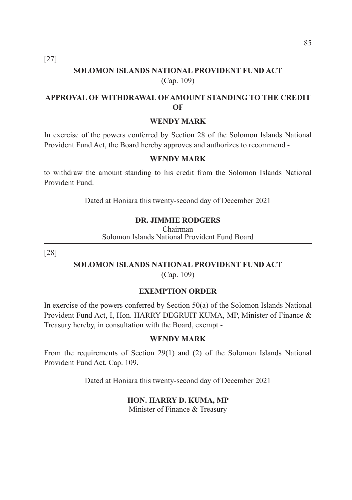[27]

# **SOLOMON ISLANDS NATIONAL PROVIDENT FUND ACT**  (Cap. 109)

# **APPROVAL OF WITHDRAWAL OF AMOUNT STANDING TO THE CREDIT OF**

#### **WENDY MARK**

In exercise of the powers conferred by Section 28 of the Solomon Islands National Provident Fund Act, the Board hereby approves and authorizes to recommend -

#### **WENDY MARK**

to withdraw the amount standing to his credit from the Solomon Islands National Provident Fund.

Dated at Honiara this twenty-second day of December 2021

#### **DR. JIMMIE RODGERS**

Chairman Solomon Islands National Provident Fund Board

[28]

# **SOLOMON ISLANDS NATIONAL PROVIDENT FUND ACT**

(Cap. 109)

#### **EXEMPTION ORDER**

In exercise of the powers conferred by Section 50(a) of the Solomon Islands National Provident Fund Act, I, Hon. HARRY DEGRUIT KUMA, MP, Minister of Finance & Treasury hereby, in consultation with the Board, exempt -

#### **WENDY MARK**

From the requirements of Section 29(1) and (2) of the Solomon Islands National Provident Fund Act. Cap. 109.

Dated at Honiara this twenty-second day of December 2021

#### **HON. HARRY D. KUMA, MP**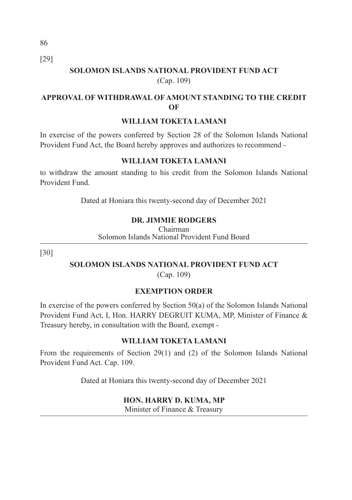86 [29]

# **SOLOMON ISLANDS NATIONAL PROVIDENT FUND ACT**  (Cap. 109)

# **APPROVAL OF WITHDRAWAL OF AMOUNT STANDING TO THE CREDIT OF**

#### **WILLIAM TOKETA LAMANI**

In exercise of the powers conferred by Section 28 of the Solomon Islands National Provident Fund Act, the Board hereby approves and authorizes to recommend -

#### **WILLIAM TOKETA LAMANI**

to withdraw the amount standing to his credit from the Solomon Islands National Provident Fund.

Dated at Honiara this twenty-second day of December 2021

#### **DR. JIMMIE RODGERS**

Chairman Solomon Islands National Provident Fund Board

[30]

# **SOLOMON ISLANDS NATIONAL PROVIDENT FUND ACT**

(Cap. 109)

# **EXEMPTION ORDER**

In exercise of the powers conferred by Section 50(a) of the Solomon Islands National Provident Fund Act, I, Hon. HARRY DEGRUIT KUMA, MP, Minister of Finance & Treasury hereby, in consultation with the Board, exempt -

#### **WILLIAM TOKETA LAMANI**

From the requirements of Section 29(1) and (2) of the Solomon Islands National Provident Fund Act. Cap. 109.

Dated at Honiara this twenty-second day of December 2021

#### **HON. HARRY D. KUMA, MP**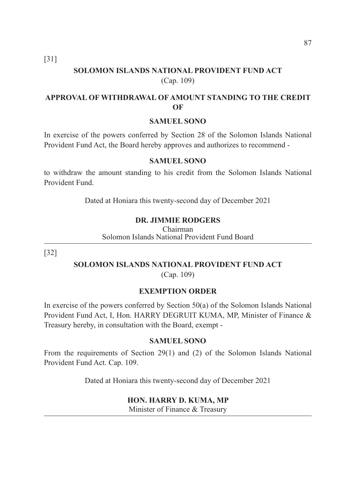[31]

# **SOLOMON ISLANDS NATIONAL PROVIDENT FUND ACT**  (Cap. 109)

# **APPROVAL OF WITHDRAWAL OF AMOUNT STANDING TO THE CREDIT OF**

#### **SAMUEL SONO**

In exercise of the powers conferred by Section 28 of the Solomon Islands National Provident Fund Act, the Board hereby approves and authorizes to recommend -

#### **SAMUEL SONO**

to withdraw the amount standing to his credit from the Solomon Islands National Provident Fund.

Dated at Honiara this twenty-second day of December 2021

#### **DR. JIMMIE RODGERS**

Chairman Solomon Islands National Provident Fund Board

[32]

# **SOLOMON ISLANDS NATIONAL PROVIDENT FUND ACT**

(Cap. 109)

#### **EXEMPTION ORDER**

In exercise of the powers conferred by Section 50(a) of the Solomon Islands National Provident Fund Act, I, Hon. HARRY DEGRUIT KUMA, MP, Minister of Finance & Treasury hereby, in consultation with the Board, exempt -

#### **SAMUEL SONO**

From the requirements of Section 29(1) and (2) of the Solomon Islands National Provident Fund Act. Cap. 109.

Dated at Honiara this twenty-second day of December 2021

#### **HON. HARRY D. KUMA, MP**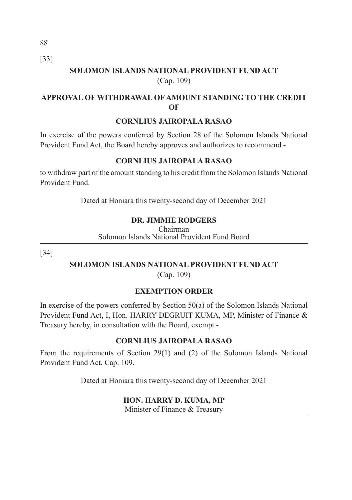88 [33]

# **SOLOMON ISLANDS NATIONAL PROVIDENT FUND ACT**  (Cap. 109)

# **APPROVAL OF WITHDRAWAL OF AMOUNT STANDING TO THE CREDIT OF**

#### **CORNLIUS JAIROPALA RASAO**

In exercise of the powers conferred by Section 28 of the Solomon Islands National Provident Fund Act, the Board hereby approves and authorizes to recommend -

## **CORNLIUS JAIROPALA RASAO**

to withdraw part of the amount standing to his credit from the Solomon Islands National Provident Fund.

Dated at Honiara this twenty-second day of December 2021

# **DR. JIMMIE RODGERS**

Chairman Solomon Islands National Provident Fund Board

[34]

# **SOLOMON ISLANDS NATIONAL PROVIDENT FUND ACT**

(Cap. 109)

# **EXEMPTION ORDER**

In exercise of the powers conferred by Section 50(a) of the Solomon Islands National Provident Fund Act, I, Hon. HARRY DEGRUIT KUMA, MP, Minister of Finance & Treasury hereby, in consultation with the Board, exempt -

# **CORNLIUS JAIROPALA RASAO**

From the requirements of Section 29(1) and (2) of the Solomon Islands National Provident Fund Act. Cap. 109.

Dated at Honiara this twenty-second day of December 2021

# **HON. HARRY D. KUMA, MP**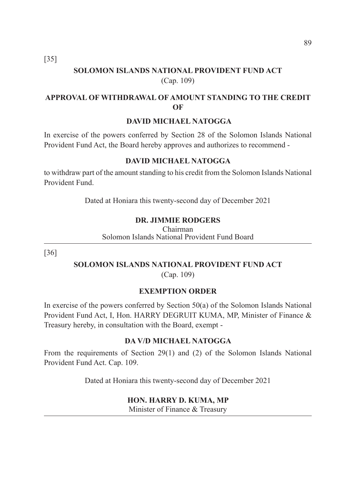[35]

# **SOLOMON ISLANDS NATIONAL PROVIDENT FUND ACT**  (Cap. 109)

# **APPROVAL OF WITHDRAWAL OF AMOUNT STANDING TO THE CREDIT OF**

#### **DAVID MICHAEL NATOGGA**

In exercise of the powers conferred by Section 28 of the Solomon Islands National Provident Fund Act, the Board hereby approves and authorizes to recommend -

# **DAVID MICHAEL NATOGGA**

to withdraw part of the amount standing to his credit from the Solomon Islands National Provident Fund.

Dated at Honiara this twenty-second day of December 2021

#### **DR. JIMMIE RODGERS**

Chairman Solomon Islands National Provident Fund Board

[36]

# **SOLOMON ISLANDS NATIONAL PROVIDENT FUND ACT**

(Cap. 109)

#### **EXEMPTION ORDER**

In exercise of the powers conferred by Section 50(a) of the Solomon Islands National Provident Fund Act, I, Hon. HARRY DEGRUIT KUMA, MP, Minister of Finance & Treasury hereby, in consultation with the Board, exempt -

#### **DA V/D MICHAEL NATOGGA**

From the requirements of Section 29(1) and (2) of the Solomon Islands National Provident Fund Act. Cap. 109.

Dated at Honiara this twenty-second day of December 2021

#### **HON. HARRY D. KUMA, MP**

Minister of Finance & Treasury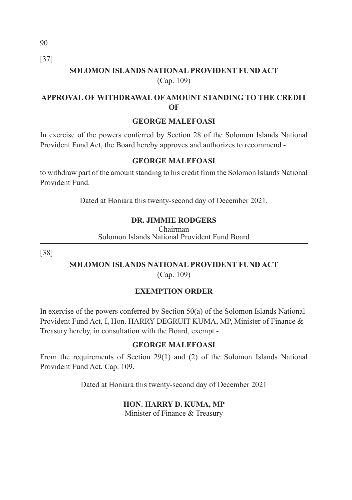90 [37]

# **SOLOMON ISLANDS NATIONAL PROVIDENT FUND ACT**  (Cap. 109)

## **APPROVAL OF WITHDRAWAL OF AMOUNT STANDING TO THE CREDIT OF**

## **GEORGE MALEFOASI**

In exercise of the powers conferred by Section 28 of the Solomon Islands National Provident Fund Act, the Board hereby approves and authorizes to recommend -

## **GEORGE MALEFOASI**

to withdraw part of the amount standing to his credit from the Solomon Islands National Provident Fund.

Dated at Honiara this twenty-second day of December 2021.

# **DR. JIMMIE RODGERS**

Chairman Solomon Islands National Provident Fund Board

[38]

#### **SOLOMON ISLANDS NATIONAL PROVIDENT FUND ACT**  (Cap. 109)

# **EXEMPTION ORDER**

In exercise of the powers conferred by Section 50(a) of the Solomon Islands National Provident Fund Act, I, Hon. HARRY DEGRUIT KUMA, MP, Minister of Finance & Treasury hereby, in consultation with the Board, exempt -

# **GEORGE MALEFOASI**

From the requirements of Section 29(1) and (2) of the Solomon Islands National Provident Fund Act. Cap. 109.

Dated at Honiara this twenty-second day of December 2021

#### **HON. HARRY D. KUMA, MP**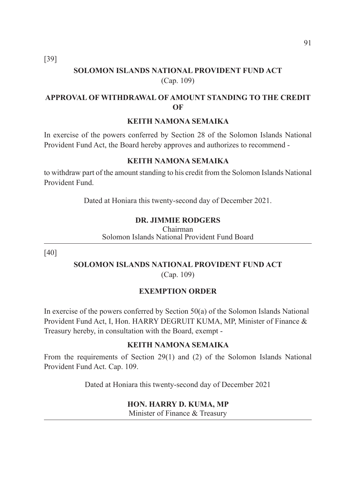[39]

# **SOLOMON ISLANDS NATIONAL PROVIDENT FUND ACT**  (Cap. 109)

# **APPROVAL OF WITHDRAWAL OF AMOUNT STANDING TO THE CREDIT OF**

#### **KEITH NAMONA SEMAIKA**

In exercise of the powers conferred by Section 28 of the Solomon Islands National Provident Fund Act, the Board hereby approves and authorizes to recommend -

#### **KEITH NAMONA SEMAIKA**

to withdraw part of the amount standing to his credit from the Solomon Islands National Provident Fund.

Dated at Honiara this twenty-second day of December 2021.

## **DR. JIMMIE RODGERS**

Chairman Solomon Islands National Provident Fund Board

[40]

#### **SOLOMON ISLANDS NATIONAL PROVIDENT FUND ACT**  (Cap. 109)

# **EXEMPTION ORDER**

In exercise of the powers conferred by Section 50(a) of the Solomon Islands National Provident Fund Act, I, Hon. HARRY DEGRUIT KUMA, MP, Minister of Finance & Treasury hereby, in consultation with the Board, exempt -

#### **KEITH NAMONA SEMAIKA**

From the requirements of Section 29(1) and (2) of the Solomon Islands National Provident Fund Act. Cap. 109.

Dated at Honiara this twenty-second day of December 2021

#### **HON. HARRY D. KUMA, MP**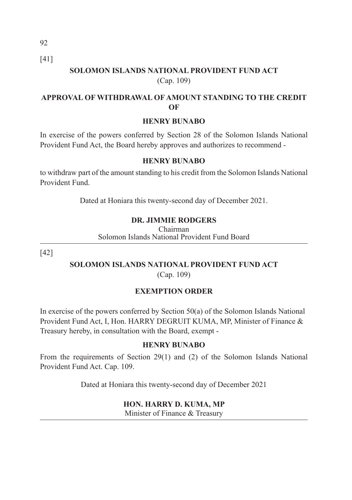92 [41]

# **SOLOMON ISLANDS NATIONAL PROVIDENT FUND ACT**  (Cap. 109)

# **APPROVAL OF WITHDRAWAL OF AMOUNT STANDING TO THE CREDIT OF**

#### **HENRY BUNABO**

In exercise of the powers conferred by Section 28 of the Solomon Islands National Provident Fund Act, the Board hereby approves and authorizes to recommend -

#### **HENRY BUNABO**

to withdraw part of the amount standing to his credit from the Solomon Islands National Provident Fund.

Dated at Honiara this twenty-second day of December 2021.

# **DR. JIMMIE RODGERS**

Chairman Solomon Islands National Provident Fund Board

[42]

## **SOLOMON ISLANDS NATIONAL PROVIDENT FUND ACT**  (Cap. 109)

# **EXEMPTION ORDER**

In exercise of the powers conferred by Section 50(a) of the Solomon Islands National Provident Fund Act, I, Hon. HARRY DEGRUIT KUMA, MP, Minister of Finance & Treasury hereby, in consultation with the Board, exempt -

# **HENRY BUNABO**

From the requirements of Section 29(1) and (2) of the Solomon Islands National Provident Fund Act. Cap. 109.

Dated at Honiara this twenty-second day of December 2021

#### **HON. HARRY D. KUMA, MP**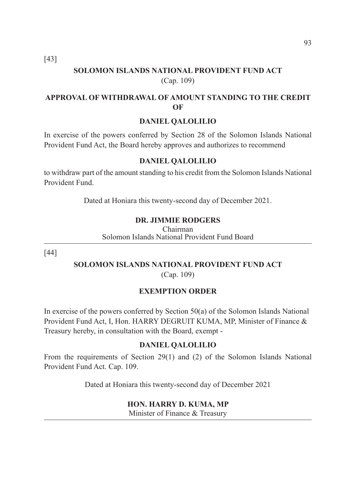[43]

# **SOLOMON ISLANDS NATIONAL PROVIDENT FUND ACT**  (Cap. 109)

# **APPROVAL OF WITHDRAWAL OF AMOUNT STANDING TO THE CREDIT OF**

#### **DANIEL QALOLILIO**

In exercise of the powers conferred by Section 28 of the Solomon Islands National Provident Fund Act, the Board hereby approves and authorizes to recommend

#### **DANIEL QALOLILIO**

to withdraw part of the amount standing to his credit from the Solomon Islands National Provident Fund.

Dated at Honiara this twenty-second day of December 2021.

## **DR. JIMMIE RODGERS**

Chairman Solomon Islands National Provident Fund Board

[44]

#### **SOLOMON ISLANDS NATIONAL PROVIDENT FUND ACT**  (Cap. 109)

# **EXEMPTION ORDER**

In exercise of the powers conferred by Section 50(a) of the Solomon Islands National Provident Fund Act, I, Hon. HARRY DEGRUIT KUMA, MP, Minister of Finance & Treasury hereby, in consultation with the Board, exempt -

# **DANIEL QALOLILIO**

From the requirements of Section 29(1) and (2) of the Solomon Islands National Provident Fund Act. Cap. 109.

Dated at Honiara this twenty-second day of December 2021

#### **HON. HARRY D. KUMA, MP**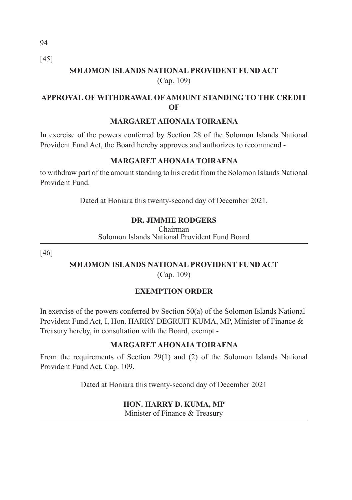[45]

# **SOLOMON ISLANDS NATIONAL PROVIDENT FUND ACT**  (Cap. 109)

# **APPROVAL OF WITHDRAWAL OF AMOUNT STANDING TO THE CREDIT OF**

## **MARGARET AHONAIA TOIRAENA**

In exercise of the powers conferred by Section 28 of the Solomon Islands National Provident Fund Act, the Board hereby approves and authorizes to recommend -

# **MARGARET AHONAIA TOIRAENA**

to withdraw part of the amount standing to his credit from the Solomon Islands National Provident Fund.

Dated at Honiara this twenty-second day of December 2021.

# **DR. JIMMIE RODGERS**

Chairman Solomon Islands National Provident Fund Board

[46]

# **SOLOMON ISLANDS NATIONAL PROVIDENT FUND ACT**  (Cap. 109)

# **EXEMPTION ORDER**

In exercise of the powers conferred by Section 50(a) of the Solomon Islands National Provident Fund Act, I, Hon. HARRY DEGRUIT KUMA, MP, Minister of Finance & Treasury hereby, in consultation with the Board, exempt -

# **MARGARET AHONAIA TOIRAENA**

From the requirements of Section 29(1) and (2) of the Solomon Islands National Provident Fund Act. Cap. 109.

Dated at Honiara this twenty-second day of December 2021

# **HON. HARRY D. KUMA, MP**

Minister of Finance & Treasury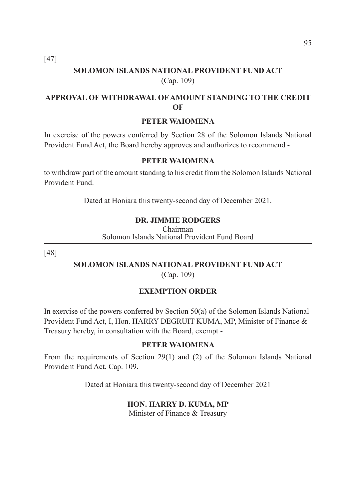[47]

# **SOLOMON ISLANDS NATIONAL PROVIDENT FUND ACT**  (Cap. 109)

# **APPROVAL OF WITHDRAWAL OF AMOUNT STANDING TO THE CREDIT OF**

#### **PETER WAIOMENA**

In exercise of the powers conferred by Section 28 of the Solomon Islands National Provident Fund Act, the Board hereby approves and authorizes to recommend -

#### **PETER WAIOMENA**

to withdraw part of the amount standing to his credit from the Solomon Islands National Provident Fund.

Dated at Honiara this twenty-second day of December 2021.

#### **DR. JIMMIE RODGERS**

Chairman Solomon Islands National Provident Fund Board

[48]

#### **SOLOMON ISLANDS NATIONAL PROVIDENT FUND ACT**  (Cap. 109)

# **EXEMPTION ORDER**

In exercise of the powers conferred by Section 50(a) of the Solomon Islands National Provident Fund Act, I, Hon. HARRY DEGRUIT KUMA, MP, Minister of Finance & Treasury hereby, in consultation with the Board, exempt -

#### **PETER WAIOMENA**

From the requirements of Section 29(1) and (2) of the Solomon Islands National Provident Fund Act. Cap. 109.

Dated at Honiara this twenty-second day of December 2021

#### **HON. HARRY D. KUMA, MP**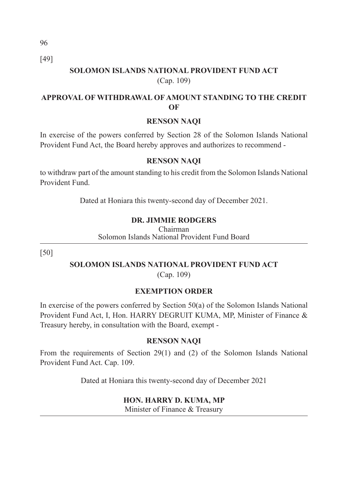96 [49]

# **SOLOMON ISLANDS NATIONAL PROVIDENT FUND ACT**  (Cap. 109)

## **APPROVAL OF WITHDRAWAL OF AMOUNT STANDING TO THE CREDIT OF**

#### **RENSON NAQI**

In exercise of the powers conferred by Section 28 of the Solomon Islands National Provident Fund Act, the Board hereby approves and authorizes to recommend -

#### **RENSON NAQI**

to withdraw part of the amount standing to his credit from the Solomon Islands National Provident Fund.

Dated at Honiara this twenty-second day of December 2021.

#### **DR. JIMMIE RODGERS**

Chairman Solomon Islands National Provident Fund Board

[50]

# **SOLOMON ISLANDS NATIONAL PROVIDENT FUND ACT**

(Cap. 109)

#### **EXEMPTION ORDER**

In exercise of the powers conferred by Section 50(a) of the Solomon Islands National Provident Fund Act, I, Hon. HARRY DEGRUIT KUMA, MP, Minister of Finance & Treasury hereby, in consultation with the Board, exempt -

#### **RENSON NAQI**

From the requirements of Section 29(1) and (2) of the Solomon Islands National Provident Fund Act. Cap. 109.

Dated at Honiara this twenty-second day of December 2021

#### **HON. HARRY D. KUMA, MP**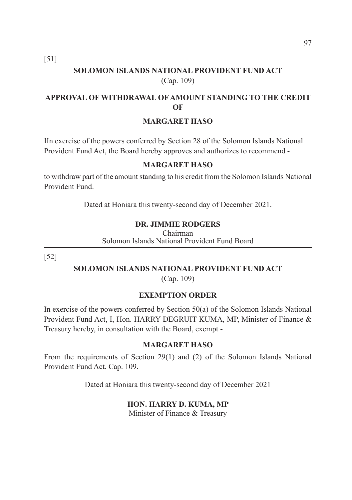[51]

# **SOLOMON ISLANDS NATIONAL PROVIDENT FUND ACT**  (Cap. 109)

# **APPROVAL OF WITHDRAWAL OF AMOUNT STANDING TO THE CREDIT OF**

#### **MARGARET HASO**

IIn exercise of the powers conferred by Section 28 of the Solomon Islands National Provident Fund Act, the Board hereby approves and authorizes to recommend -

#### **MARGARET HASO**

to withdraw part of the amount standing to his credit from the Solomon Islands National Provident Fund.

Dated at Honiara this twenty-second day of December 2021.

#### **DR. JIMMIE RODGERS**

Chairman Solomon Islands National Provident Fund Board

[52]

#### **SOLOMON ISLANDS NATIONAL PROVIDENT FUND ACT**  (Cap. 109)

#### **EXEMPTION ORDER**

In exercise of the powers conferred by Section 50(a) of the Solomon Islands National Provident Fund Act, I, Hon. HARRY DEGRUIT KUMA, MP, Minister of Finance & Treasury hereby, in consultation with the Board, exempt -

#### **MARGARET HASO**

From the requirements of Section 29(1) and (2) of the Solomon Islands National Provident Fund Act. Cap. 109.

Dated at Honiara this twenty-second day of December 2021

#### **HON. HARRY D. KUMA, MP**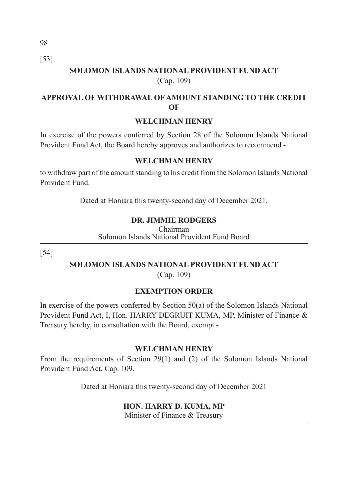98 [53]

# **SOLOMON ISLANDS NATIONAL PROVIDENT FUND ACT**  (Cap. 109)

### **APPROVAL OF WITHDRAWAL OF AMOUNT STANDING TO THE CREDIT OF**

#### **WELCHMAN HENRY**

In exercise of the powers conferred by Section 28 of the Solomon Islands National Provident Fund Act, the Board hereby approves and authorizes to recommend -

#### **WELCHMAN HENRY**

to withdraw part of the amount standing to his credit from the Solomon Islands National Provident Fund.

Dated at Honiara this twenty-second day of December 2021.

#### **DR. JIMMIE RODGERS**

Chairman Solomon Islands National Provident Fund Board

[54]

# **SOLOMON ISLANDS NATIONAL PROVIDENT FUND ACT**

(Cap. 109)

#### **EXEMPTION ORDER**

In exercise of the powers conferred by Section 50(a) of the Solomon Islands National Provident Fund Act, I, Hon. HARRY DEGRUIT KUMA, MP, Minister of Finance & Treasury hereby, in consultation with the Board, exempt -

#### **WELCHMAN HENRY**

From the requirements of Section 29(1) and (2) of the Solomon Islands National Provident Fund Act. Cap. 109.

Dated at Honiara this twenty-second day of December 2021

#### **HON. HARRY D. KUMA, MP**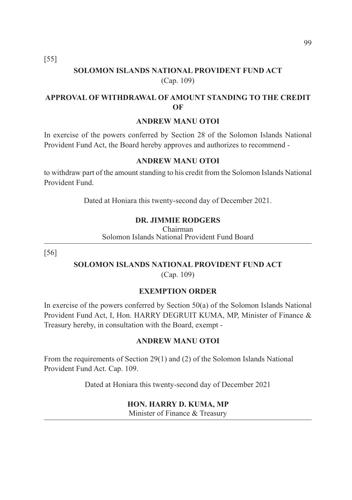[55]

# **SOLOMON ISLANDS NATIONAL PROVIDENT FUND ACT**  (Cap. 109)

# **APPROVAL OF WITHDRAWAL OF AMOUNT STANDING TO THE CREDIT OF**

#### **ANDREW MANU OTOI**

In exercise of the powers conferred by Section 28 of the Solomon Islands National Provident Fund Act, the Board hereby approves and authorizes to recommend -

#### **ANDREW MANU OTOI**

to withdraw part of the amount standing to his credit from the Solomon Islands National Provident Fund.

Dated at Honiara this twenty-second day of December 2021.

## **DR. JIMMIE RODGERS**

Chairman Solomon Islands National Provident Fund Board

[56]

# **SOLOMON ISLANDS NATIONAL PROVIDENT FUND ACT**

(Cap. 109)

#### **EXEMPTION ORDER**

In exercise of the powers conferred by Section 50(a) of the Solomon Islands National Provident Fund Act, I, Hon. HARRY DEGRUIT KUMA, MP, Minister of Finance & Treasury hereby, in consultation with the Board, exempt -

#### **ANDREW MANU OTOI**

From the requirements of Section 29(1) and (2) of the Solomon Islands National Provident Fund Act. Cap. 109.

Dated at Honiara this twenty-second day of December 2021

#### **HON. HARRY D. KUMA, MP**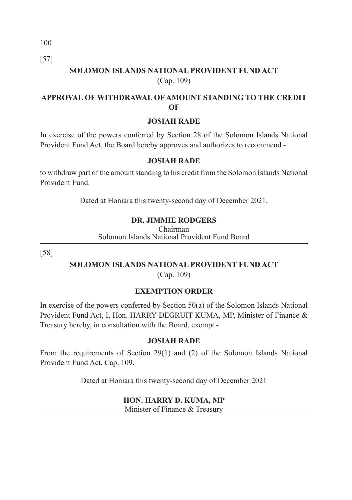[57]

# **SOLOMON ISLANDS NATIONAL PROVIDENT FUND ACT**  (Cap. 109)

# **APPROVAL OF WITHDRAWAL OF AMOUNT STANDING TO THE CREDIT OF**

#### **JOSIAH RADE**

In exercise of the powers conferred by Section 28 of the Solomon Islands National Provident Fund Act, the Board hereby approves and authorizes to recommend -

#### **JOSIAH RADE**

to withdraw part of the amount standing to his credit from the Solomon Islands National Provident Fund.

Dated at Honiara this twenty-second day of December 2021.

## **DR. JIMMIE RODGERS**

Chairman Solomon Islands National Provident Fund Board

[58]

# **SOLOMON ISLANDS NATIONAL PROVIDENT FUND ACT**

(Cap. 109)

# **EXEMPTION ORDER**

In exercise of the powers conferred by Section 50(a) of the Solomon Islands National Provident Fund Act, I, Hon. HARRY DEGRUIT KUMA, MP, Minister of Finance & Treasury hereby, in consultation with the Board, exempt -

#### **JOSIAH RADE**

From the requirements of Section 29(1) and (2) of the Solomon Islands National Provident Fund Act. Cap. 109.

Dated at Honiara this twenty-second day of December 2021

#### **HON. HARRY D. KUMA, MP**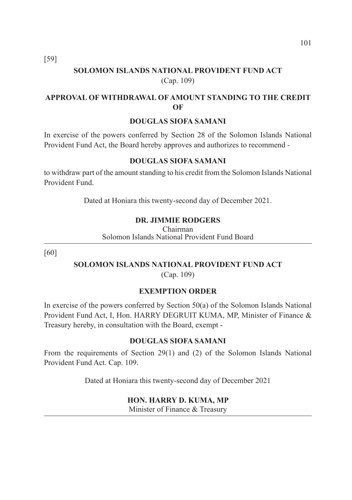[59]

# **SOLOMON ISLANDS NATIONAL PROVIDENT FUND ACT**  (Cap. 109)

# **APPROVAL OF WITHDRAWAL OF AMOUNT STANDING TO THE CREDIT OF**

#### **DOUGLAS SIOFA SAMANI**

In exercise of the powers conferred by Section 28 of the Solomon Islands National Provident Fund Act, the Board hereby approves and authorizes to recommend -

#### **DOUGLAS SIOFA SAMANI**

to withdraw part of the amount standing to his credit from the Solomon Islands National Provident Fund.

Dated at Honiara this twenty-second day of December 2021.

#### **DR. JIMMIE RODGERS**

Chairman Solomon Islands National Provident Fund Board

[60]

# **SOLOMON ISLANDS NATIONAL PROVIDENT FUND ACT**

(Cap. 109)

#### **EXEMPTION ORDER**

In exercise of the powers conferred by Section 50(a) of the Solomon Islands National Provident Fund Act, I, Hon. HARRY DEGRUIT KUMA, MP, Minister of Finance & Treasury hereby, in consultation with the Board, exempt -

#### **DOUGLAS SIOFA SAMANI**

From the requirements of Section 29(1) and (2) of the Solomon Islands National Provident Fund Act. Cap. 109.

Dated at Honiara this twenty-second day of December 2021

#### **HON. HARRY D. KUMA, MP**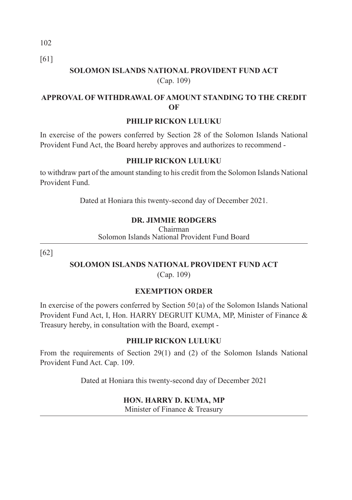[61]

# **SOLOMON ISLANDS NATIONAL PROVIDENT FUND ACT**  (Cap. 109)

# **APPROVAL OF WITHDRAWAL OF AMOUNT STANDING TO THE CREDIT OF**

#### **PHILIP RICKON LULUKU**

In exercise of the powers conferred by Section 28 of the Solomon Islands National Provident Fund Act, the Board hereby approves and authorizes to recommend -

## **PHILIP RICKON LULUKU**

to withdraw part of the amount standing to his credit from the Solomon Islands National Provident Fund.

Dated at Honiara this twenty-second day of December 2021.

# **DR. JIMMIE RODGERS**

Chairman Solomon Islands National Provident Fund Board

[62]

# **SOLOMON ISLANDS NATIONAL PROVIDENT FUND ACT**

(Cap. 109)

# **EXEMPTION ORDER**

In exercise of the powers conferred by Section  $50\{a\}$  of the Solomon Islands National Provident Fund Act, I, Hon. HARRY DEGRUIT KUMA, MP, Minister of Finance & Treasury hereby, in consultation with the Board, exempt -

# **PHILIP RICKON LULUKU**

From the requirements of Section 29(1) and (2) of the Solomon Islands National Provident Fund Act. Cap. 109.

Dated at Honiara this twenty-second day of December 2021

# **HON. HARRY D. KUMA, MP**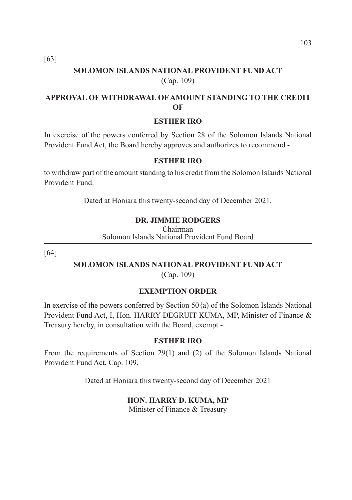[63]

# **SOLOMON ISLANDS NATIONAL PROVIDENT FUND ACT**  (Cap. 109)

# **APPROVAL OF WITHDRAWAL OF AMOUNT STANDING TO THE CREDIT OF**

#### **ESTHER IRO**

In exercise of the powers conferred by Section 28 of the Solomon Islands National Provident Fund Act, the Board hereby approves and authorizes to recommend -

#### **ESTHER IRO**

to withdraw part of the amount standing to his credit from the Solomon Islands National Provident Fund.

Dated at Honiara this twenty-second day of December 2021.

#### **DR. JIMMIE RODGERS**

Chairman Solomon Islands National Provident Fund Board

[64]

### **SOLOMON ISLANDS NATIONAL PROVIDENT FUND ACT**

(Cap. 109)

#### **EXEMPTION ORDER**

In exercise of the powers conferred by Section  $50\{a\}$  of the Solomon Islands National Provident Fund Act, I, Hon. HARRY DEGRUIT KUMA, MP, Minister of Finance & Treasury hereby, in consultation with the Board, exempt -

#### **ESTHER IRO**

From the requirements of Section 29(1) and (2) of the Solomon Islands National Provident Fund Act. Cap. 109.

Dated at Honiara this twenty-second day of December 2021

#### **HON. HARRY D. KUMA, MP**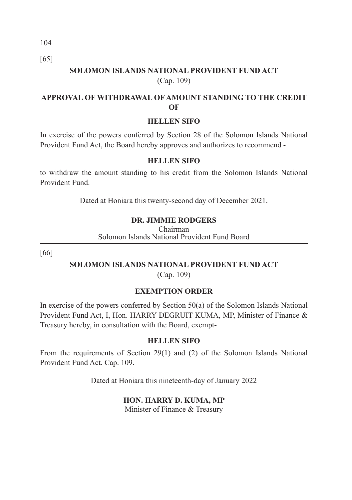[65]

# **SOLOMON ISLANDS NATIONAL PROVIDENT FUND ACT**  (Cap. 109)

# **APPROVAL OF WITHDRAWAL OF AMOUNT STANDING TO THE CREDIT OF**

#### **HELLEN SIFO**

In exercise of the powers conferred by Section 28 of the Solomon Islands National Provident Fund Act, the Board hereby approves and authorizes to recommend -

## **HELLEN SIFO**

to withdraw the amount standing to his credit from the Solomon Islands National Provident Fund.

Dated at Honiara this twenty-second day of December 2021.

# **DR. JIMMIE RODGERS**

Chairman Solomon Islands National Provident Fund Board

[66]

# **SOLOMON ISLANDS NATIONAL PROVIDENT FUND ACT**

(Cap. 109)

# **EXEMPTION ORDER**

In exercise of the powers conferred by Section 50(a) of the Solomon Islands National Provident Fund Act, I, Hon. HARRY DEGRUIT KUMA, MP, Minister of Finance & Treasury hereby, in consultation with the Board, exempt-

# **HELLEN SIFO**

From the requirements of Section 29(1) and (2) of the Solomon Islands National Provident Fund Act. Cap. 109.

Dated at Honiara this nineteenth-day of January 2022

# **HON. HARRY D. KUMA, MP**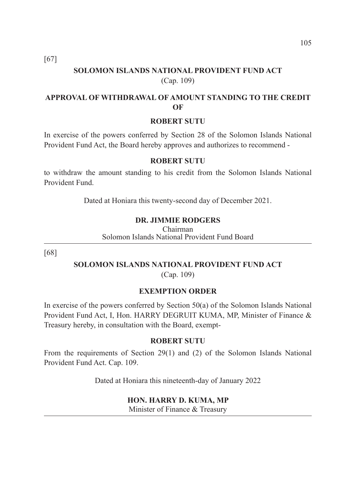[67]

# **SOLOMON ISLANDS NATIONAL PROVIDENT FUND ACT**  (Cap. 109)

# **APPROVAL OF WITHDRAWAL OF AMOUNT STANDING TO THE CREDIT OF**

#### **ROBERT SUTU**

In exercise of the powers conferred by Section 28 of the Solomon Islands National Provident Fund Act, the Board hereby approves and authorizes to recommend -

#### **ROBERT SUTU**

to withdraw the amount standing to his credit from the Solomon Islands National Provident Fund.

Dated at Honiara this twenty-second day of December 2021.

#### **DR. JIMMIE RODGERS**

Chairman Solomon Islands National Provident Fund Board

[68]

# **SOLOMON ISLANDS NATIONAL PROVIDENT FUND ACT**

(Cap. 109)

#### **EXEMPTION ORDER**

In exercise of the powers conferred by Section 50(a) of the Solomon Islands National Provident Fund Act, I, Hon. HARRY DEGRUIT KUMA, MP, Minister of Finance & Treasury hereby, in consultation with the Board, exempt-

#### **ROBERT SUTU**

From the requirements of Section 29(1) and (2) of the Solomon Islands National Provident Fund Act. Cap. 109.

Dated at Honiara this nineteenth-day of January 2022

#### **HON. HARRY D. KUMA, MP**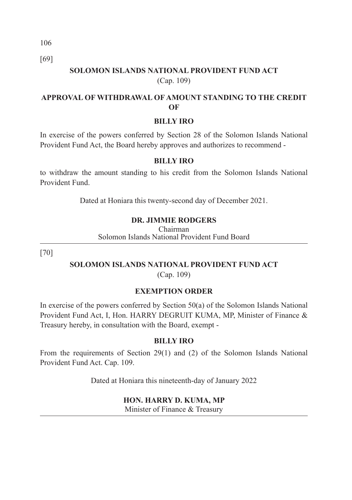[69]

# **SOLOMON ISLANDS NATIONAL PROVIDENT FUND ACT**  (Cap. 109)

# **APPROVAL OF WITHDRAWAL OF AMOUNT STANDING TO THE CREDIT OF**

#### **BILLY IRO**

In exercise of the powers conferred by Section 28 of the Solomon Islands National Provident Fund Act, the Board hereby approves and authorizes to recommend -

#### **BILLY IRO**

to withdraw the amount standing to his credit from the Solomon Islands National Provident Fund.

Dated at Honiara this twenty-second day of December 2021.

## **DR. JIMMIE RODGERS**

Chairman Solomon Islands National Provident Fund Board

[70]

# **SOLOMON ISLANDS NATIONAL PROVIDENT FUND ACT**

(Cap. 109)

#### **EXEMPTION ORDER**

In exercise of the powers conferred by Section 50(a) of the Solomon Islands National Provident Fund Act, I, Hon. HARRY DEGRUIT KUMA, MP, Minister of Finance & Treasury hereby, in consultation with the Board, exempt -

#### **BILLY IRO**

From the requirements of Section 29(1) and (2) of the Solomon Islands National Provident Fund Act. Cap. 109.

Dated at Honiara this nineteenth-day of January 2022

#### **HON. HARRY D. KUMA, MP**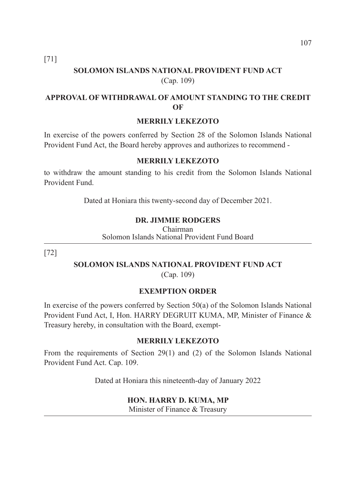[71]

# **SOLOMON ISLANDS NATIONAL PROVIDENT FUND ACT**  (Cap. 109)

# **APPROVAL OF WITHDRAWAL OF AMOUNT STANDING TO THE CREDIT OF**

#### **MERRILY LEKEZOTO**

In exercise of the powers conferred by Section 28 of the Solomon Islands National Provident Fund Act, the Board hereby approves and authorizes to recommend -

#### **MERRILY LEKEZOTO**

to withdraw the amount standing to his credit from the Solomon Islands National Provident Fund.

Dated at Honiara this twenty-second day of December 2021.

#### **DR. JIMMIE RODGERS**

Chairman Solomon Islands National Provident Fund Board

[72]

# **SOLOMON ISLANDS NATIONAL PROVIDENT FUND ACT**

(Cap. 109)

#### **EXEMPTION ORDER**

In exercise of the powers conferred by Section 50(a) of the Solomon Islands National Provident Fund Act, I, Hon. HARRY DEGRUIT KUMA, MP, Minister of Finance & Treasury hereby, in consultation with the Board, exempt-

#### **MERRILY LEKEZOTO**

From the requirements of Section 29(1) and (2) of the Solomon Islands National Provident Fund Act. Cap. 109.

Dated at Honiara this nineteenth-day of January 2022

#### **HON. HARRY D. KUMA, MP**

Minister of Finance & Treasury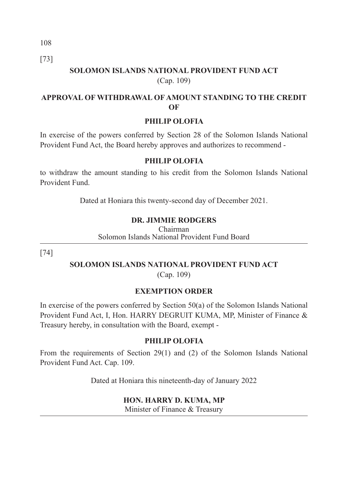[73]

# **SOLOMON ISLANDS NATIONAL PROVIDENT FUND ACT**  (Cap. 109)

# **APPROVAL OF WITHDRAWAL OF AMOUNT STANDING TO THE CREDIT OF**

## **PHILIP OLOFIA**

In exercise of the powers conferred by Section 28 of the Solomon Islands National Provident Fund Act, the Board hereby approves and authorizes to recommend -

#### **PHILIP OLOFIA**

to withdraw the amount standing to his credit from the Solomon Islands National Provident Fund.

Dated at Honiara this twenty-second day of December 2021.

# **DR. JIMMIE RODGERS**

Chairman Solomon Islands National Provident Fund Board

[74]

# **SOLOMON ISLANDS NATIONAL PROVIDENT FUND ACT**

(Cap. 109)

# **EXEMPTION ORDER**

In exercise of the powers conferred by Section 50(a) of the Solomon Islands National Provident Fund Act, I, Hon. HARRY DEGRUIT KUMA, MP, Minister of Finance & Treasury hereby, in consultation with the Board, exempt -

#### **PHILIP OLOFIA**

From the requirements of Section 29(1) and (2) of the Solomon Islands National Provident Fund Act. Cap. 109.

Dated at Honiara this nineteenth-day of January 2022

#### **HON. HARRY D. KUMA, MP**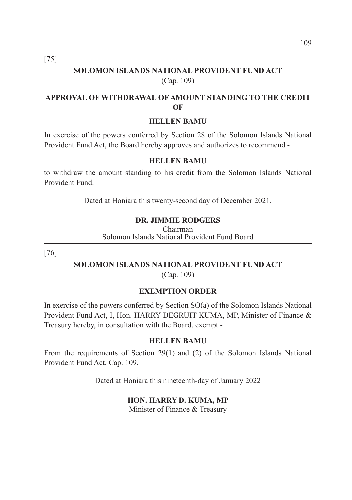[75]

# **SOLOMON ISLANDS NATIONAL PROVIDENT FUND ACT**  (Cap. 109)

# **APPROVAL OF WITHDRAWAL OF AMOUNT STANDING TO THE CREDIT OF**

#### **HELLEN BAMU**

In exercise of the powers conferred by Section 28 of the Solomon Islands National Provident Fund Act, the Board hereby approves and authorizes to recommend -

#### **HELLEN BAMU**

to withdraw the amount standing to his credit from the Solomon Islands National Provident Fund.

Dated at Honiara this twenty-second day of December 2021.

#### **DR. JIMMIE RODGERS**

Chairman Solomon Islands National Provident Fund Board

[76]

# **SOLOMON ISLANDS NATIONAL PROVIDENT FUND ACT**

(Cap. 109)

#### **EXEMPTION ORDER**

In exercise of the powers conferred by Section SO(a) of the Solomon Islands National Provident Fund Act, I, Hon. HARRY DEGRUIT KUMA, MP, Minister of Finance & Treasury hereby, in consultation with the Board, exempt -

#### **HELLEN BAMU**

From the requirements of Section 29(1) and (2) of the Solomon Islands National Provident Fund Act. Cap. 109.

Dated at Honiara this nineteenth-day of January 2022

#### **HON. HARRY D. KUMA, MP**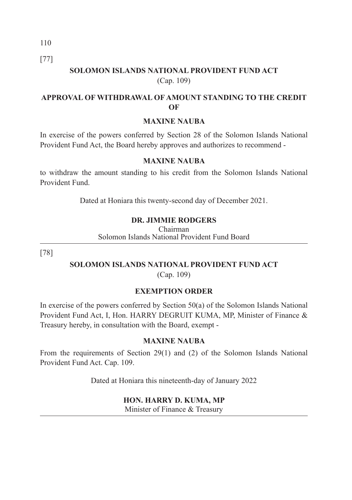[77]

# **SOLOMON ISLANDS NATIONAL PROVIDENT FUND ACT**  (Cap. 109)

# **APPROVAL OF WITHDRAWAL OF AMOUNT STANDING TO THE CREDIT OF**

#### **MAXINE NAUBA**

In exercise of the powers conferred by Section 28 of the Solomon Islands National Provident Fund Act, the Board hereby approves and authorizes to recommend -

#### **MAXINE NAUBA**

to withdraw the amount standing to his credit from the Solomon Islands National Provident Fund.

Dated at Honiara this twenty-second day of December 2021.

## **DR. JIMMIE RODGERS**

Chairman Solomon Islands National Provident Fund Board

[78]

# **SOLOMON ISLANDS NATIONAL PROVIDENT FUND ACT**

(Cap. 109)

# **EXEMPTION ORDER**

In exercise of the powers conferred by Section 50(a) of the Solomon Islands National Provident Fund Act, I, Hon. HARRY DEGRUIT KUMA, MP, Minister of Finance & Treasury hereby, in consultation with the Board, exempt -

#### **MAXINE NAUBA**

From the requirements of Section 29(1) and (2) of the Solomon Islands National Provident Fund Act. Cap. 109.

Dated at Honiara this nineteenth-day of January 2022

#### **HON. HARRY D. KUMA, MP**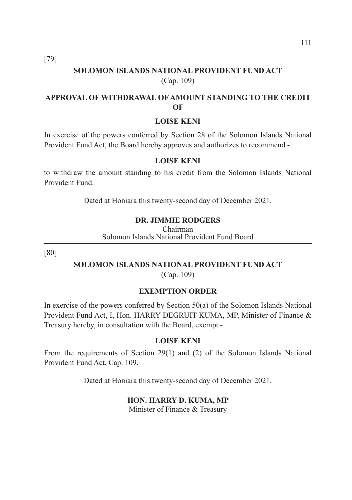[79]

# **SOLOMON ISLANDS NATIONAL PROVIDENT FUND ACT**  (Cap. 109)

# **APPROVAL OF WITHDRAWAL OF AMOUNT STANDING TO THE CREDIT OF**

#### **LOISE KENI**

In exercise of the powers conferred by Section 28 of the Solomon Islands National Provident Fund Act, the Board hereby approves and authorizes to recommend -

#### **LOISE KENI**

to withdraw the amount standing to his credit from the Solomon Islands National Provident Fund.

Dated at Honiara this twenty-second day of December 2021.

#### **DR. JIMMIE RODGERS**

Chairman Solomon Islands National Provident Fund Board

[80]

# **SOLOMON ISLANDS NATIONAL PROVIDENT FUND ACT**

(Cap. 109)

#### **EXEMPTION ORDER**

In exercise of the powers conferred by Section 50(a) of the Solomon Islands National Provident Fund Act, I, Hon. HARRY DEGRUIT KUMA, MP, Minister of Finance & Treasury hereby, in consultation with the Board, exempt -

#### **LOISE KENI**

From the requirements of Section 29(1) and (2) of the Solomon Islands National Provident Fund Act. Cap. 109.

Dated at Honiara this twenty-second day of December 2021.

#### **HON. HARRY D. KUMA, MP**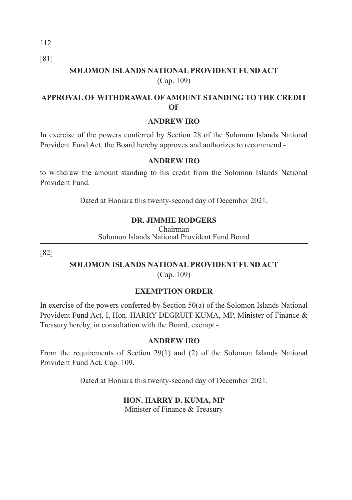[81]

# **SOLOMON ISLANDS NATIONAL PROVIDENT FUND ACT**  (Cap. 109)

# **APPROVAL OF WITHDRAWAL OF AMOUNT STANDING TO THE CREDIT OF**

#### **ANDREW IRO**

In exercise of the powers conferred by Section 28 of the Solomon Islands National Provident Fund Act, the Board hereby approves and authorizes to recommend -

#### **ANDREW IRO**

to withdraw the amount standing to his credit from the Solomon Islands National Provident Fund.

Dated at Honiara this twenty-second day of December 2021.

## **DR. JIMMIE RODGERS**

Chairman Solomon Islands National Provident Fund Board

[82]

# **SOLOMON ISLANDS NATIONAL PROVIDENT FUND ACT**

(Cap. 109)

# **EXEMPTION ORDER**

In exercise of the powers conferred by Section 50(a) of the Solomon Islands National Provident Fund Act, I, Hon. HARRY DEGRUIT KUMA, MP, Minister of Finance & Treasury hereby, in consultation with the Board, exempt -

#### **ANDREW IRO**

From the requirements of Section 29(1) and (2) of the Solomon Islands National Provident Fund Act. Cap. 109.

Dated at Honiara this twenty-second day of December 2021.

#### **HON. HARRY D. KUMA, MP**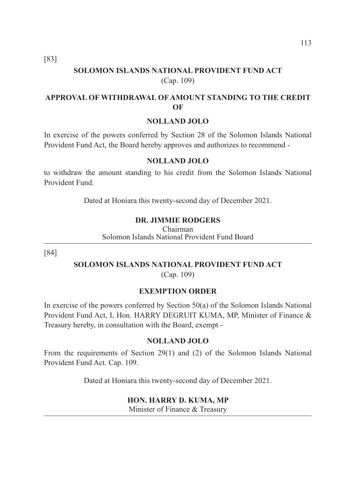[83]

# **SOLOMON ISLANDS NATIONAL PROVIDENT FUND ACT**  (Cap. 109)

# **APPROVAL OF WITHDRAWAL OF AMOUNT STANDING TO THE CREDIT OF**

#### **NOLLAND JOLO**

In exercise of the powers conferred by Section 28 of the Solomon Islands National Provident Fund Act, the Board hereby approves and authorizes to recommend -

#### **NOLLAND JOLO**

to withdraw the amount standing to his credit from the Solomon Islands National Provident Fund.

Dated at Honiara this twenty-second day of December 2021.

#### **DR. JIMMIE RODGERS**

Chairman Solomon Islands National Provident Fund Board

[84]

# **SOLOMON ISLANDS NATIONAL PROVIDENT FUND ACT**

(Cap. 109)

#### **EXEMPTION ORDER**

In exercise of the powers conferred by Section 50(a) of the Solomon Islands National Provident Fund Act, I, Hon. HARRY DEGRUIT KUMA, MP, Minister of Finance & Treasury hereby, in consultation with the Board, exempt -

#### **NOLLAND JOLO**

From the requirements of Section 29(1) and (2) of the Solomon Islands National Provident Fund Act. Cap. 109.

Dated at Honiara this twenty-second day of December 2021.

#### **HON. HARRY D. KUMA, MP**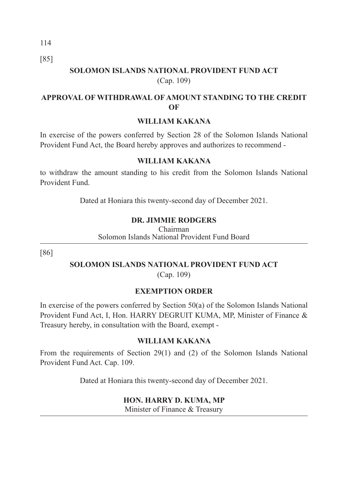[85]

# **SOLOMON ISLANDS NATIONAL PROVIDENT FUND ACT**  (Cap. 109)

# **APPROVAL OF WITHDRAWAL OF AMOUNT STANDING TO THE CREDIT OF**

#### **WILLIAM KAKANA**

In exercise of the powers conferred by Section 28 of the Solomon Islands National Provident Fund Act, the Board hereby approves and authorizes to recommend -

## **WILLIAM KAKANA**

to withdraw the amount standing to his credit from the Solomon Islands National Provident Fund.

Dated at Honiara this twenty-second day of December 2021.

# **DR. JIMMIE RODGERS**

Chairman Solomon Islands National Provident Fund Board

[86]

# **SOLOMON ISLANDS NATIONAL PROVIDENT FUND ACT**

(Cap. 109)

# **EXEMPTION ORDER**

In exercise of the powers conferred by Section 50(a) of the Solomon Islands National Provident Fund Act, I, Hon. HARRY DEGRUIT KUMA, MP, Minister of Finance & Treasury hereby, in consultation with the Board, exempt -

# **WILLIAM KAKANA**

From the requirements of Section 29(1) and (2) of the Solomon Islands National Provident Fund Act. Cap. 109.

Dated at Honiara this twenty-second day of December 2021.

#### **HON. HARRY D. KUMA, MP**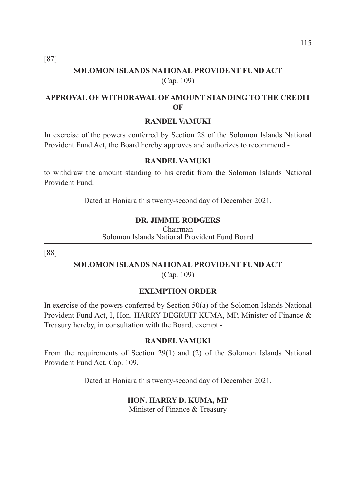[87]

# **SOLOMON ISLANDS NATIONAL PROVIDENT FUND ACT**  (Cap. 109)

# **APPROVAL OF WITHDRAWAL OF AMOUNT STANDING TO THE CREDIT OF**

#### **RANDEL VAMUKI**

In exercise of the powers conferred by Section 28 of the Solomon Islands National Provident Fund Act, the Board hereby approves and authorizes to recommend -

#### **RANDEL VAMUKI**

to withdraw the amount standing to his credit from the Solomon Islands National Provident Fund.

Dated at Honiara this twenty-second day of December 2021.

#### **DR. JIMMIE RODGERS**

Chairman Solomon Islands National Provident Fund Board

[88]

# **SOLOMON ISLANDS NATIONAL PROVIDENT FUND ACT**

(Cap. 109)

#### **EXEMPTION ORDER**

In exercise of the powers conferred by Section 50(a) of the Solomon Islands National Provident Fund Act, I, Hon. HARRY DEGRUIT KUMA, MP, Minister of Finance & Treasury hereby, in consultation with the Board, exempt -

#### **RANDEL VAMUKI**

From the requirements of Section 29(1) and (2) of the Solomon Islands National Provident Fund Act. Cap. 109.

Dated at Honiara this twenty-second day of December 2021.

#### **HON. HARRY D. KUMA, MP**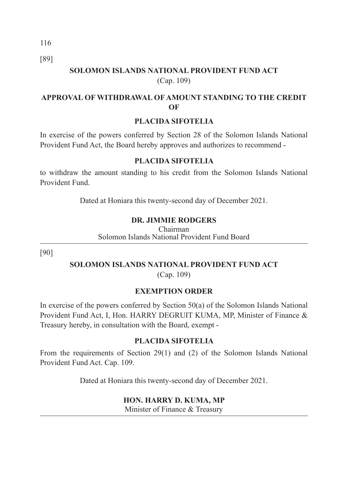[89]

# **SOLOMON ISLANDS NATIONAL PROVIDENT FUND ACT**  (Cap. 109)

# **APPROVAL OF WITHDRAWAL OF AMOUNT STANDING TO THE CREDIT OF**

# **PLACIDA SIFOTELIA**

In exercise of the powers conferred by Section 28 of the Solomon Islands National Provident Fund Act, the Board hereby approves and authorizes to recommend -

#### **PLACIDA SIFOTELIA**

to withdraw the amount standing to his credit from the Solomon Islands National Provident Fund.

Dated at Honiara this twenty-second day of December 2021.

# **DR. JIMMIE RODGERS**

Chairman Solomon Islands National Provident Fund Board

[90]

# **SOLOMON ISLANDS NATIONAL PROVIDENT FUND ACT**

(Cap. 109)

# **EXEMPTION ORDER**

In exercise of the powers conferred by Section 50(a) of the Solomon Islands National Provident Fund Act, I, Hon. HARRY DEGRUIT KUMA, MP, Minister of Finance & Treasury hereby, in consultation with the Board, exempt -

# **PLACIDA SIFOTELIA**

From the requirements of Section 29(1) and (2) of the Solomon Islands National Provident Fund Act. Cap. 109.

Dated at Honiara this twenty-second day of December 2021.

# **HON. HARRY D. KUMA, MP**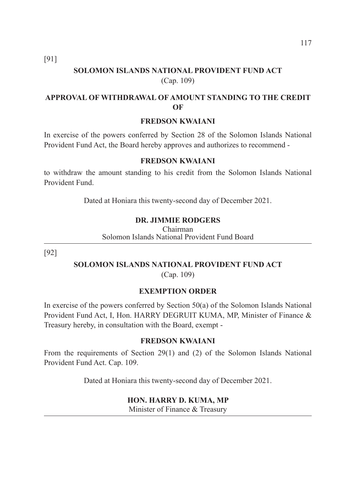[91]

# **SOLOMON ISLANDS NATIONAL PROVIDENT FUND ACT**  (Cap. 109)

# **APPROVAL OF WITHDRAWAL OF AMOUNT STANDING TO THE CREDIT OF**

#### **FREDSON KWAIANI**

In exercise of the powers conferred by Section 28 of the Solomon Islands National Provident Fund Act, the Board hereby approves and authorizes to recommend -

#### **FREDSON KWAIANI**

to withdraw the amount standing to his credit from the Solomon Islands National Provident Fund.

Dated at Honiara this twenty-second day of December 2021.

#### **DR. JIMMIE RODGERS**

Chairman Solomon Islands National Provident Fund Board

[92]

# **SOLOMON ISLANDS NATIONAL PROVIDENT FUND ACT**

(Cap. 109)

#### **EXEMPTION ORDER**

In exercise of the powers conferred by Section 50(a) of the Solomon Islands National Provident Fund Act, I, Hon. HARRY DEGRUIT KUMA, MP, Minister of Finance & Treasury hereby, in consultation with the Board, exempt -

#### **FREDSON KWAIANI**

From the requirements of Section 29(1) and (2) of the Solomon Islands National Provident Fund Act. Cap. 109.

Dated at Honiara this twenty-second day of December 2021.

#### **HON. HARRY D. KUMA, MP**

Minister of Finance & Treasury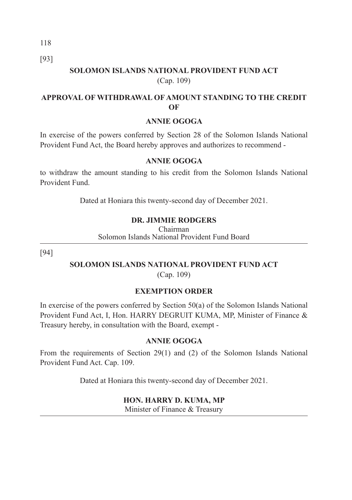[93]

# **SOLOMON ISLANDS NATIONAL PROVIDENT FUND ACT**  (Cap. 109)

# **APPROVAL OF WITHDRAWAL OF AMOUNT STANDING TO THE CREDIT OF**

#### **ANNIE OGOGA**

In exercise of the powers conferred by Section 28 of the Solomon Islands National Provident Fund Act, the Board hereby approves and authorizes to recommend -

#### **ANNIE OGOGA**

to withdraw the amount standing to his credit from the Solomon Islands National Provident Fund.

Dated at Honiara this twenty-second day of December 2021.

#### **DR. JIMMIE RODGERS**

Chairman Solomon Islands National Provident Fund Board

[94]

# **SOLOMON ISLANDS NATIONAL PROVIDENT FUND ACT**

(Cap. 109)

#### **EXEMPTION ORDER**

In exercise of the powers conferred by Section 50(a) of the Solomon Islands National Provident Fund Act, I, Hon. HARRY DEGRUIT KUMA, MP, Minister of Finance & Treasury hereby, in consultation with the Board, exempt -

#### **ANNIE OGOGA**

From the requirements of Section 29(1) and (2) of the Solomon Islands National Provident Fund Act. Cap. 109.

Dated at Honiara this twenty-second day of December 2021.

#### **HON. HARRY D. KUMA, MP**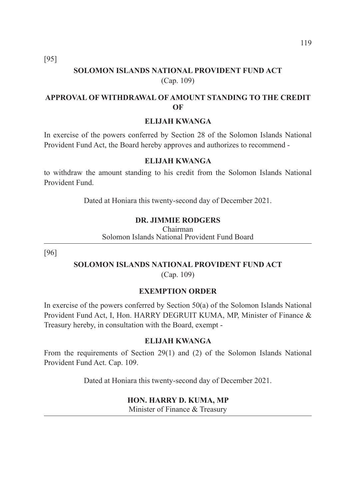[95]

# **SOLOMON ISLANDS NATIONAL PROVIDENT FUND ACT**  (Cap. 109)

# **APPROVAL OF WITHDRAWAL OF AMOUNT STANDING TO THE CREDIT OF**

#### **ELIJAH KWANGA**

In exercise of the powers conferred by Section 28 of the Solomon Islands National Provident Fund Act, the Board hereby approves and authorizes to recommend -

#### **ELIJAH KWANGA**

to withdraw the amount standing to his credit from the Solomon Islands National Provident Fund.

Dated at Honiara this twenty-second day of December 2021.

#### **DR. JIMMIE RODGERS**

Chairman Solomon Islands National Provident Fund Board

[96]

### **SOLOMON ISLANDS NATIONAL PROVIDENT FUND ACT**

(Cap. 109)

#### **EXEMPTION ORDER**

In exercise of the powers conferred by Section 50(a) of the Solomon Islands National Provident Fund Act, I, Hon. HARRY DEGRUIT KUMA, MP, Minister of Finance & Treasury hereby, in consultation with the Board, exempt -

#### **ELIJAH KWANGA**

From the requirements of Section 29(1) and (2) of the Solomon Islands National Provident Fund Act. Cap. 109.

Dated at Honiara this twenty-second day of December 2021.

#### **HON. HARRY D. KUMA, MP**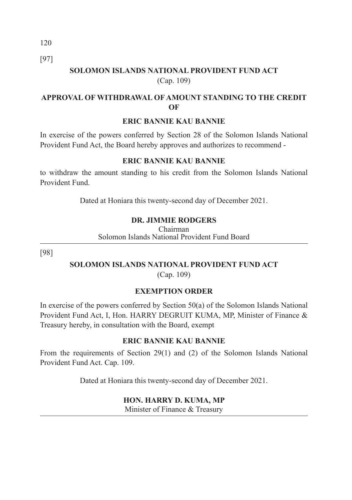[97]

# **SOLOMON ISLANDS NATIONAL PROVIDENT FUND ACT**  (Cap. 109)

# **APPROVAL OF WITHDRAWAL OF AMOUNT STANDING TO THE CREDIT OF**

#### **ERIC BANNIE KAU BANNIE**

In exercise of the powers conferred by Section 28 of the Solomon Islands National Provident Fund Act, the Board hereby approves and authorizes to recommend -

## **ERIC BANNIE KAU BANNIE**

to withdraw the amount standing to his credit from the Solomon Islands National Provident Fund.

Dated at Honiara this twenty-second day of December 2021.

# **DR. JIMMIE RODGERS**

Chairman Solomon Islands National Provident Fund Board

[98]

# **SOLOMON ISLANDS NATIONAL PROVIDENT FUND ACT**

(Cap. 109)

# **EXEMPTION ORDER**

In exercise of the powers conferred by Section 50(a) of the Solomon Islands National Provident Fund Act, I, Hon. HARRY DEGRUIT KUMA, MP, Minister of Finance & Treasury hereby, in consultation with the Board, exempt

# **ERIC BANNIE KAU BANNIE**

From the requirements of Section 29(1) and (2) of the Solomon Islands National Provident Fund Act. Cap. 109.

Dated at Honiara this twenty-second day of December 2021.

# **HON. HARRY D. KUMA, MP**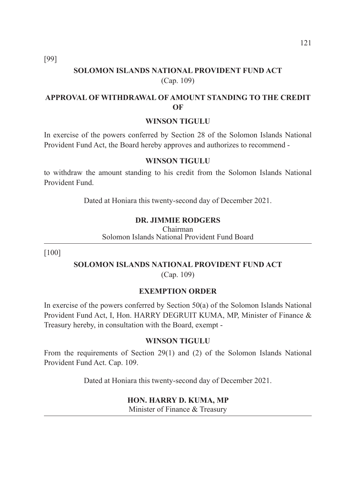[99]

# **SOLOMON ISLANDS NATIONAL PROVIDENT FUND ACT**  (Cap. 109)

# **APPROVAL OF WITHDRAWAL OF AMOUNT STANDING TO THE CREDIT OF**

#### **WINSON TIGULU**

In exercise of the powers conferred by Section 28 of the Solomon Islands National Provident Fund Act, the Board hereby approves and authorizes to recommend -

#### **WINSON TIGULU**

to withdraw the amount standing to his credit from the Solomon Islands National Provident Fund.

Dated at Honiara this twenty-second day of December 2021.

#### **DR. JIMMIE RODGERS**

Chairman Solomon Islands National Provident Fund Board

[100]

# **SOLOMON ISLANDS NATIONAL PROVIDENT FUND ACT**

(Cap. 109)

#### **EXEMPTION ORDER**

In exercise of the powers conferred by Section 50(a) of the Solomon Islands National Provident Fund Act, I, Hon. HARRY DEGRUIT KUMA, MP, Minister of Finance & Treasury hereby, in consultation with the Board, exempt -

#### **WINSON TIGULU**

From the requirements of Section 29(1) and (2) of the Solomon Islands National Provident Fund Act. Cap. 109.

Dated at Honiara this twenty-second day of December 2021.

#### **HON. HARRY D. KUMA, MP**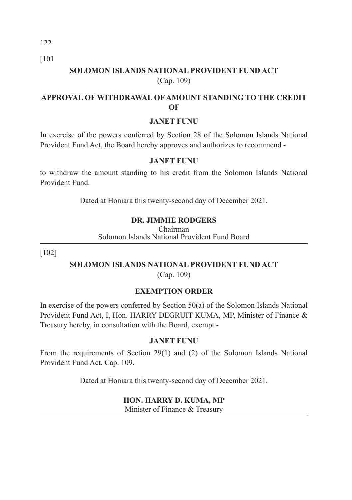122 [101

# **SOLOMON ISLANDS NATIONAL PROVIDENT FUND ACT**  (Cap. 109)

# **APPROVAL OF WITHDRAWAL OF AMOUNT STANDING TO THE CREDIT OF**

#### **JANET FUNU**

In exercise of the powers conferred by Section 28 of the Solomon Islands National Provident Fund Act, the Board hereby approves and authorizes to recommend -

#### **JANET FUNU**

to withdraw the amount standing to his credit from the Solomon Islands National Provident Fund.

Dated at Honiara this twenty-second day of December 2021.

# **DR. JIMMIE RODGERS**

Chairman Solomon Islands National Provident Fund Board

[102]

# **SOLOMON ISLANDS NATIONAL PROVIDENT FUND ACT**

(Cap. 109)

# **EXEMPTION ORDER**

In exercise of the powers conferred by Section 50(a) of the Solomon Islands National Provident Fund Act, I, Hon. HARRY DEGRUIT KUMA, MP, Minister of Finance & Treasury hereby, in consultation with the Board, exempt -

#### **JANET FUNU**

From the requirements of Section 29(1) and (2) of the Solomon Islands National Provident Fund Act. Cap. 109.

Dated at Honiara this twenty-second day of December 2021.

#### **HON. HARRY D. KUMA, MP**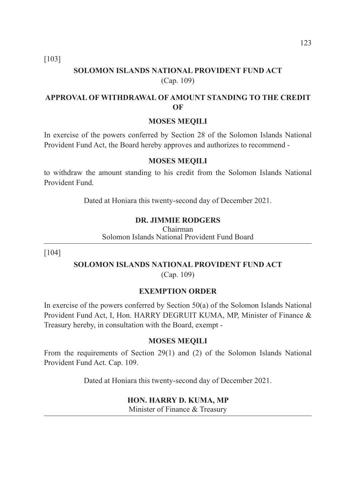[103]

# **SOLOMON ISLANDS NATIONAL PROVIDENT FUND ACT**  (Cap. 109)

# **APPROVAL OF WITHDRAWAL OF AMOUNT STANDING TO THE CREDIT OF**

#### **MOSES MEQILI**

In exercise of the powers conferred by Section 28 of the Solomon Islands National Provident Fund Act, the Board hereby approves and authorizes to recommend -

#### **MOSES MEQILI**

to withdraw the amount standing to his credit from the Solomon Islands National Provident Fund.

Dated at Honiara this twenty-second day of December 2021.

#### **DR. JIMMIE RODGERS**

Chairman Solomon Islands National Provident Fund Board

[104]

### **SOLOMON ISLANDS NATIONAL PROVIDENT FUND ACT**

(Cap. 109)

#### **EXEMPTION ORDER**

In exercise of the powers conferred by Section 50(a) of the Solomon Islands National Provident Fund Act, I, Hon. HARRY DEGRUIT KUMA, MP, Minister of Finance & Treasury hereby, in consultation with the Board, exempt -

#### **MOSES MEQILI**

From the requirements of Section 29(1) and (2) of the Solomon Islands National Provident Fund Act. Cap. 109.

Dated at Honiara this twenty-second day of December 2021.

#### **HON. HARRY D. KUMA, MP**

Minister of Finance & Treasury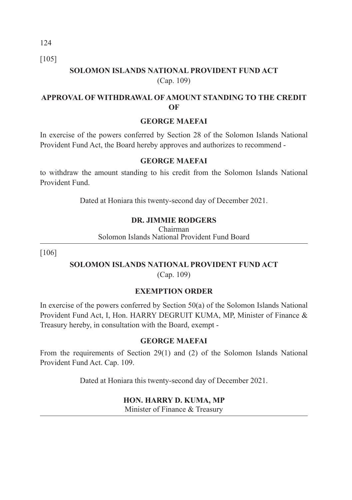[105]

# **SOLOMON ISLANDS NATIONAL PROVIDENT FUND ACT**  (Cap. 109)

## **APPROVAL OF WITHDRAWAL OF AMOUNT STANDING TO THE CREDIT OF**

### **GEORGE MAEFAI**

In exercise of the powers conferred by Section 28 of the Solomon Islands National Provident Fund Act, the Board hereby approves and authorizes to recommend -

#### **GEORGE MAEFAI**

to withdraw the amount standing to his credit from the Solomon Islands National Provident Fund.

Dated at Honiara this twenty-second day of December 2021.

# **DR. JIMMIE RODGERS**

Chairman Solomon Islands National Provident Fund Board

[106]

# **SOLOMON ISLANDS NATIONAL PROVIDENT FUND ACT**

(Cap. 109)

# **EXEMPTION ORDER**

In exercise of the powers conferred by Section 50(a) of the Solomon Islands National Provident Fund Act, I, Hon. HARRY DEGRUIT KUMA, MP, Minister of Finance & Treasury hereby, in consultation with the Board, exempt -

#### **GEORGE MAEFAI**

From the requirements of Section 29(1) and (2) of the Solomon Islands National Provident Fund Act. Cap. 109.

Dated at Honiara this twenty-second day of December 2021.

#### **HON. HARRY D. KUMA, MP**

Minister of Finance & Treasury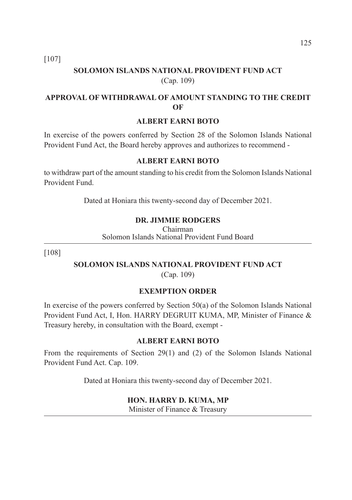[107]

# **SOLOMON ISLANDS NATIONAL PROVIDENT FUND ACT**  (Cap. 109)

# **APPROVAL OF WITHDRAWAL OF AMOUNT STANDING TO THE CREDIT OF**

#### **ALBERT EARNI BOTO**

In exercise of the powers conferred by Section 28 of the Solomon Islands National Provident Fund Act, the Board hereby approves and authorizes to recommend -

#### **ALBERT EARNI BOTO**

to withdraw part of the amount standing to his credit from the Solomon Islands National Provident Fund.

Dated at Honiara this twenty-second day of December 2021.

#### **DR. JIMMIE RODGERS**

Chairman Solomon Islands National Provident Fund Board

[108]

### **SOLOMON ISLANDS NATIONAL PROVIDENT FUND ACT**

(Cap. 109)

#### **EXEMPTION ORDER**

In exercise of the powers conferred by Section 50(a) of the Solomon Islands National Provident Fund Act, I, Hon. HARRY DEGRUIT KUMA, MP, Minister of Finance & Treasury hereby, in consultation with the Board, exempt -

#### **ALBERT EARNI BOTO**

From the requirements of Section 29(1) and (2) of the Solomon Islands National Provident Fund Act. Cap. 109.

Dated at Honiara this twenty-second day of December 2021.

#### **HON. HARRY D. KUMA, MP**

Minister of Finance & Treasury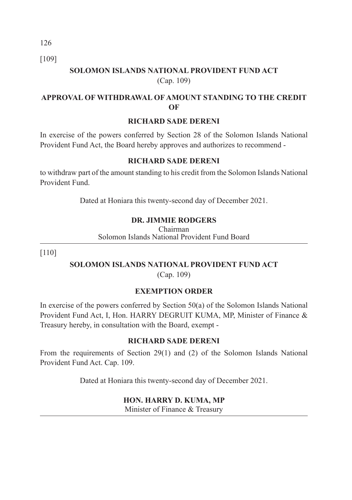[109]

# **SOLOMON ISLANDS NATIONAL PROVIDENT FUND ACT**  (Cap. 109)

# **APPROVAL OF WITHDRAWAL OF AMOUNT STANDING TO THE CREDIT OF**

#### **RICHARD SADE DERENI**

In exercise of the powers conferred by Section 28 of the Solomon Islands National Provident Fund Act, the Board hereby approves and authorizes to recommend -

## **RICHARD SADE DERENI**

to withdraw part of the amount standing to his credit from the Solomon Islands National Provident Fund.

Dated at Honiara this twenty-second day of December 2021.

# **DR. JIMMIE RODGERS**

Chairman Solomon Islands National Provident Fund Board

[110]

# **SOLOMON ISLANDS NATIONAL PROVIDENT FUND ACT**

(Cap. 109)

# **EXEMPTION ORDER**

In exercise of the powers conferred by Section 50(a) of the Solomon Islands National Provident Fund Act, I, Hon. HARRY DEGRUIT KUMA, MP, Minister of Finance & Treasury hereby, in consultation with the Board, exempt -

# **RICHARD SADE DERENI**

From the requirements of Section 29(1) and (2) of the Solomon Islands National Provident Fund Act. Cap. 109.

Dated at Honiara this twenty-second day of December 2021.

#### **HON. HARRY D. KUMA, MP**

Minister of Finance & Treasury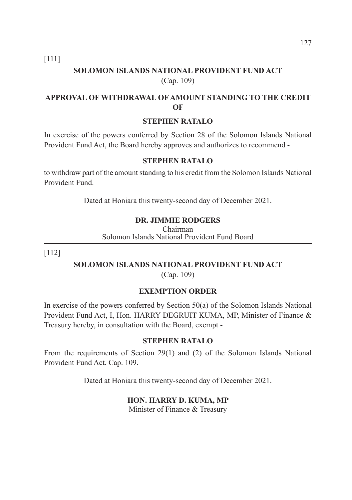[111]

# **SOLOMON ISLANDS NATIONAL PROVIDENT FUND ACT**  (Cap. 109)

# **APPROVAL OF WITHDRAWAL OF AMOUNT STANDING TO THE CREDIT OF**

#### **STEPHEN RATALO**

In exercise of the powers conferred by Section 28 of the Solomon Islands National Provident Fund Act, the Board hereby approves and authorizes to recommend -

#### **STEPHEN RATALO**

to withdraw part of the amount standing to his credit from the Solomon Islands National Provident Fund.

Dated at Honiara this twenty-second day of December 2021.

#### **DR. JIMMIE RODGERS**

Chairman Solomon Islands National Provident Fund Board

[112]

# **SOLOMON ISLANDS NATIONAL PROVIDENT FUND ACT**

(Cap. 109)

#### **EXEMPTION ORDER**

In exercise of the powers conferred by Section 50(a) of the Solomon Islands National Provident Fund Act, I, Hon. HARRY DEGRUIT KUMA, MP, Minister of Finance & Treasury hereby, in consultation with the Board, exempt -

#### **STEPHEN RATALO**

From the requirements of Section 29(1) and (2) of the Solomon Islands National Provident Fund Act. Cap. 109.

Dated at Honiara this twenty-second day of December 2021.

#### **HON. HARRY D. KUMA, MP**

Minister of Finance & Treasury